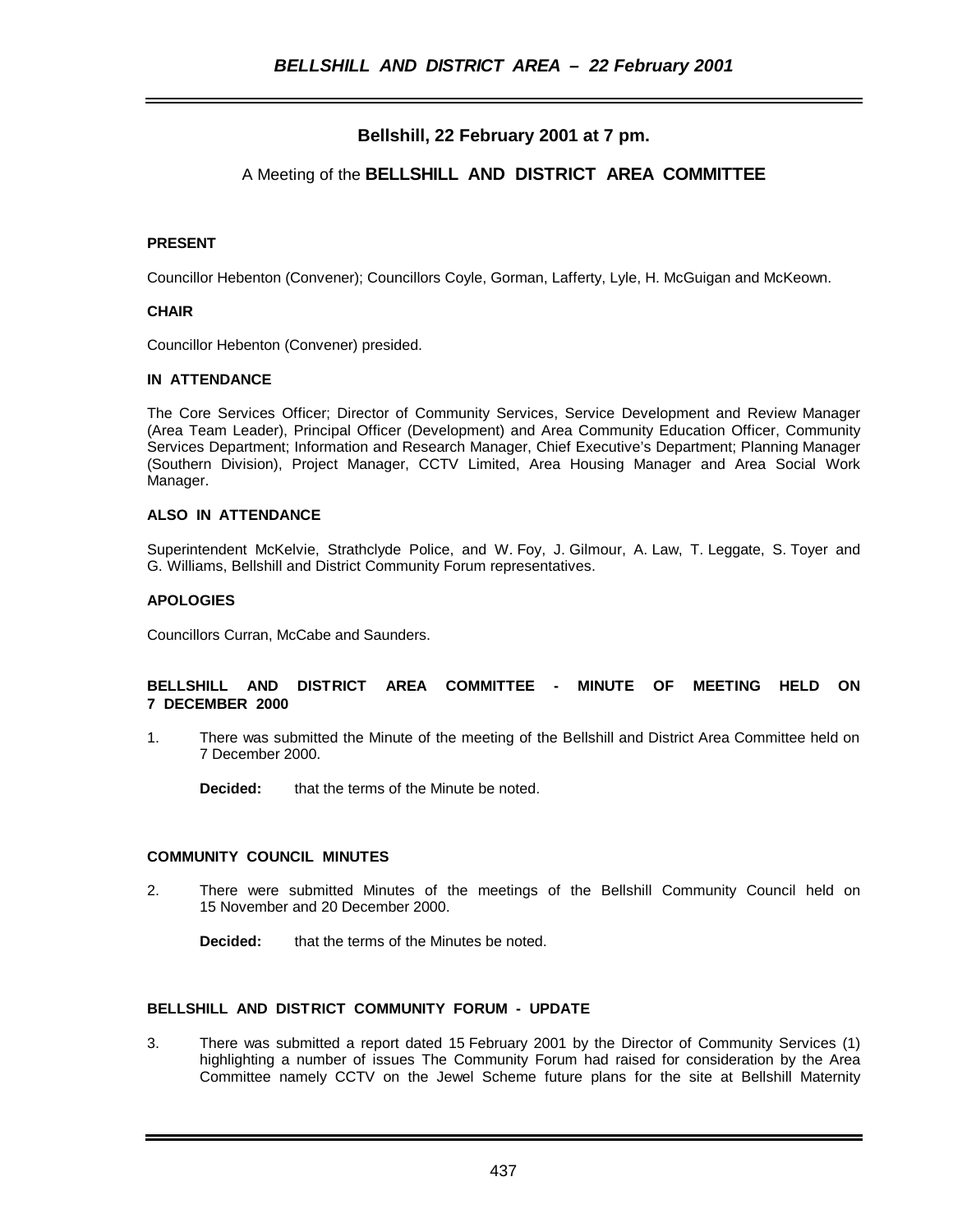# **Bellshill, 22 February 2001 at 7 pm.**

## A Meeting of the **BELLSHILL AND DISTRICT AREA COMMITTEE**

#### **PRESENT**

Councillor Hebenton (Convener); Councillors Coyle, Gorman, Lafferty, Lyle, H. McGuigan and McKeown.

#### **CHAIR**

Councillor Hebenton (Convener) presided.

#### **IN ATTENDANCE**

The Core Services Officer; Director of Community Services, Service Development and Review Manager (Area Team Leader), Principal Officer (Development) and Area Community Education Officer, Community Services Department; Information and Research Manager, Chief Executive's Department; Planning Manager (Southern Division), Project Manager, CCTV Limited, Area Housing Manager and Area Social Work Manager.

#### **ALSO IN ATTENDANCE**

Superintendent McKelvie, Strathclyde Police, and W. Foy, J. Gilmour, A. Law, T. Leggate, S. Toyer and G. Williams, Bellshill and District Community Forum representatives.

#### **APOLOGIES**

Councillors Curran, McCabe and Saunders.

#### **BELLSHILL AND DISTRICT AREA COMMITTEE - MINUTE OF MEETING HELD ON 7 DECEMBER 2000**

1. There was submitted the Minute of the meeting of the Bellshill and District Area Committee held on 7 December 2000.

**Decided:** that the terms of the Minute be noted.

#### **COMMUNITY COUNCIL MINUTES**

- 2. There were submitted Minutes of the meetings of the Bellshill Community Council held on 15 November and 20 December 2000.
	- **Decided:** that the terms of the Minutes be noted.

#### **BELLSHILL AND DISTRICT COMMUNITY FORUM - UPDATE**

3. There was submitted a report dated 15 February 2001 by the Director of Community Services (1) highlighting a number of issues The Community Forum had raised for consideration by the Area Committee namely CCTV on the Jewel Scheme future plans for the site at Bellshill Maternity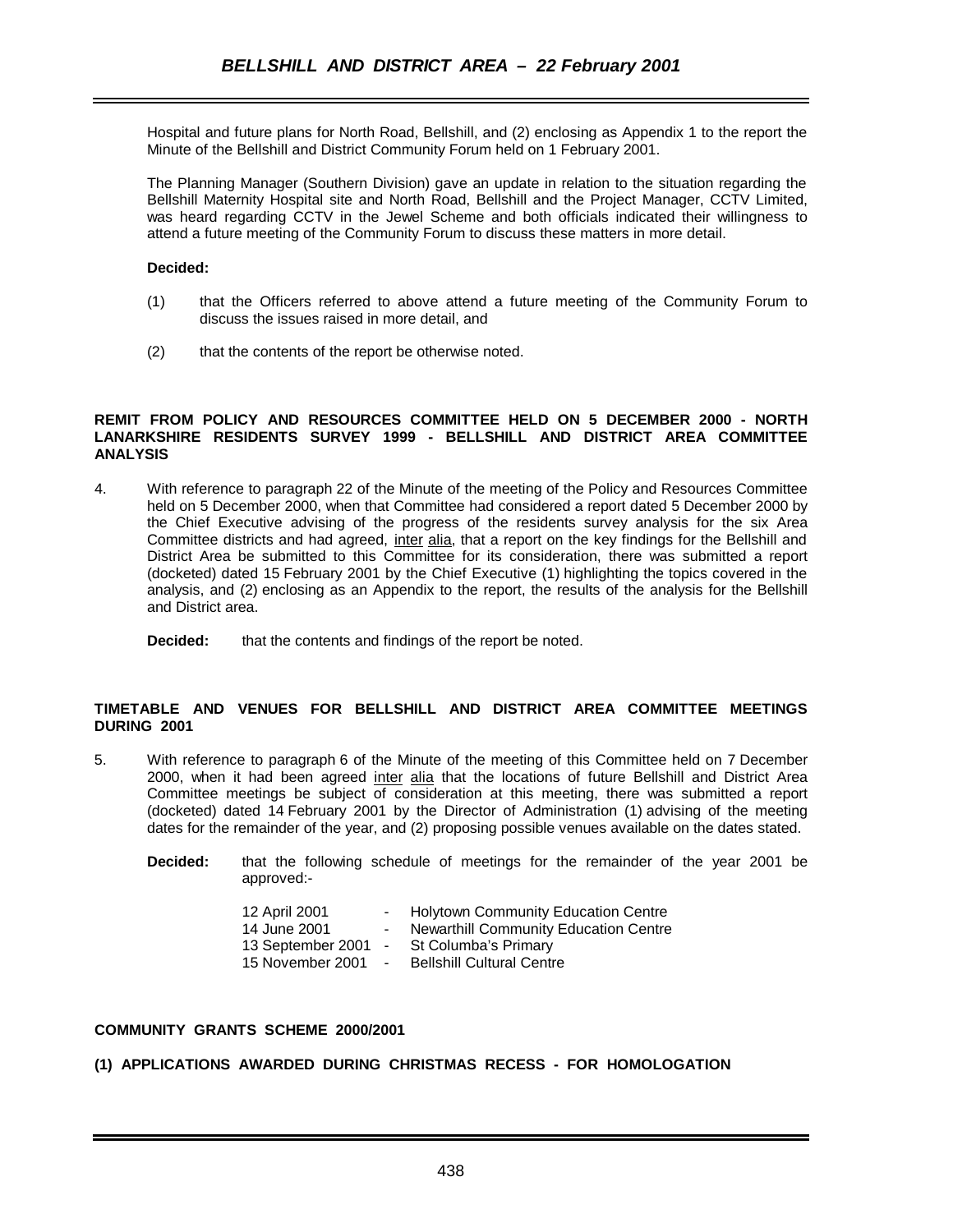Hospital and future plans for North Road, Bellshill, and (2) enclosing as Appendix 1 to the report the Minute of the Bellshill and District Community Forum held on 1 February 2001.

The Planning Manager (Southern Division) gave an update in relation to the situation regarding the Bellshill Maternity Hospital site and North Road, Bellshill and the Project Manager, CCTV Limited, was heard regarding CCTV in the Jewel Scheme and both officials indicated their willingness to attend a future meeting of the Community Forum to discuss these matters in more detail.

#### **Decided:**

- (1) that the Officers referred to above attend a future meeting of the Community Forum to discuss the issues raised in more detail, and
- (2) that the contents of the report be otherwise noted.

#### **REMIT FROM POLICY AND RESOURCES COMMITTEE HELD ON 5 DECEMBER 2000 - NORTH LANARKSHIRE RESIDENTS SURVEY 1999 - BELLSHILL AND DISTRICT AREA COMMITTEE ANALYSIS**

- 4. With reference to paragraph 22 of the Minute of the meeting of the Policy and Resources Committee held on 5 December 2000, when that Committee had considered a report dated 5 December 2000 by the Chief Executive advising of the progress of the residents survey analysis for the six Area Committee districts and had agreed, inter alia, that a report on the key findings for the Bellshill and District Area be submitted to this Committee for its consideration, there was submitted a report (docketed) dated 15 February 2001 by the Chief Executive (1) highlighting the topics covered in the analysis, and (2) enclosing as an Appendix to the report, the results of the analysis for the Bellshill and District area.
	- **Decided:** that the contents and findings of the report be noted.

#### **TIMETABLE AND VENUES FOR BELLSHILL AND DISTRICT AREA COMMITTEE MEETINGS DURING 2001**

- 5. With reference to paragraph 6 of the Minute of the meeting of this Committee held on 7 December 2000, when it had been agreed inter alia that the locations of future Bellshill and District Area Committee meetings be subject of consideration at this meeting, there was submitted a report (docketed) dated 14 February 2001 by the Director of Administration (1) advising of the meeting dates for the remainder of the year, and (2) proposing possible venues available on the dates stated.
	- **Decided:** that the following schedule of meetings for the remainder of the year 2001 be approved:-

| 12 April 2001     | <b>Holytown Community Education Centre</b>   |
|-------------------|----------------------------------------------|
| 14 June 2001      | <b>Newarthill Community Education Centre</b> |
| 13 September 2001 | St Columba's Primary                         |
| 15 November 2001  | <b>Bellshill Cultural Centre</b>             |

#### **COMMUNITY GRANTS SCHEME 2000/2001**

**(1) APPLICATIONS AWARDED DURING CHRISTMAS RECESS - FOR HOMOLOGATION**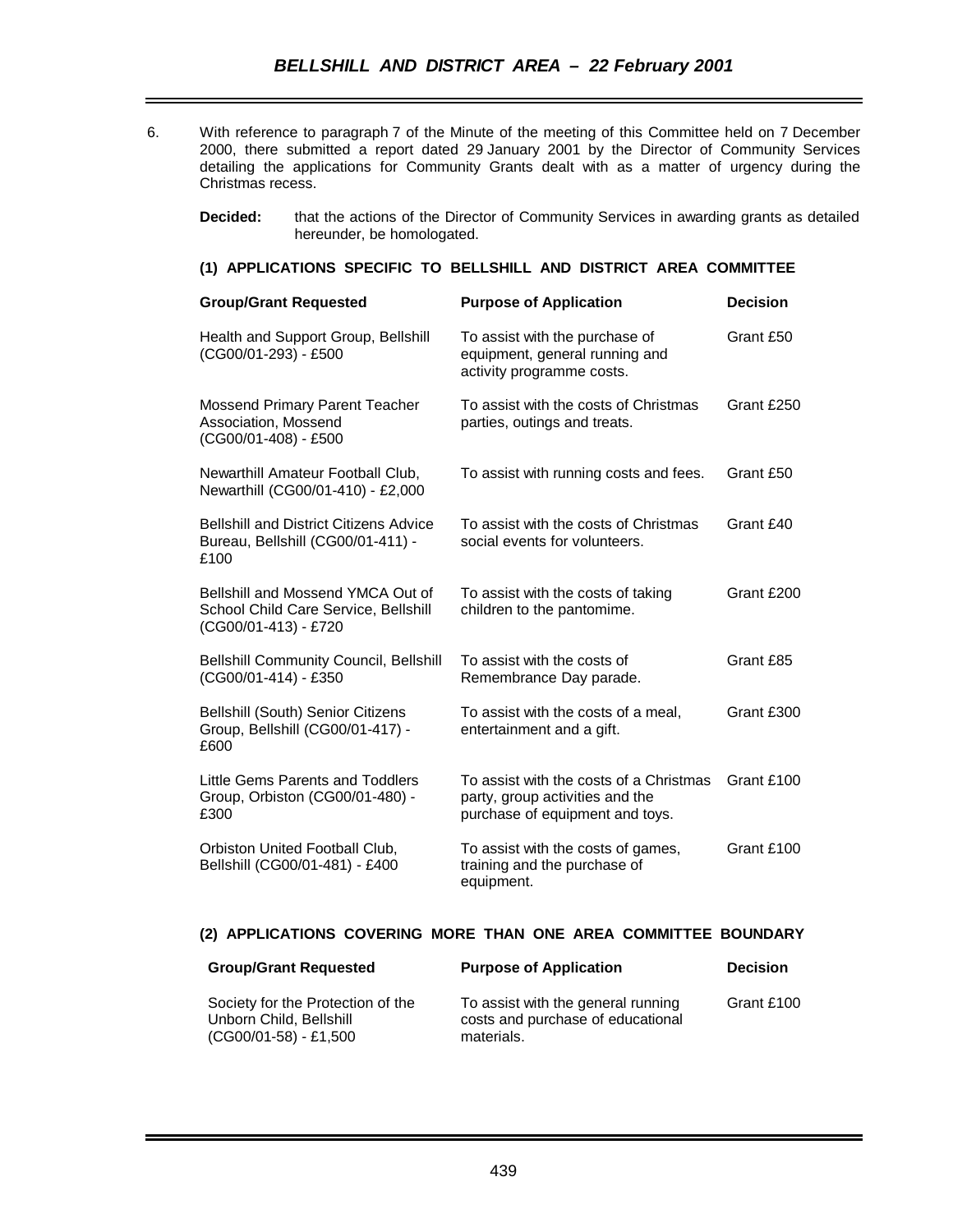- 6. With reference to paragraph 7 of the Minute of the meeting of this Committee held on 7 December 2000, there submitted a report dated 29 January 2001 by the Director of Community Services detailing the applications for Community Grants dealt with as a matter of urgency during the Christmas recess.
	- **Decided:** that the actions of the Director of Community Services in awarding grants as detailed hereunder, be homologated.

#### **(1) APPLICATIONS SPECIFIC TO BELLSHILL AND DISTRICT AREA COMMITTEE**

| <b>Group/Grant Requested</b>                                                                      | <b>Purpose of Application</b>                                                                                 | <b>Decision</b> |
|---------------------------------------------------------------------------------------------------|---------------------------------------------------------------------------------------------------------------|-----------------|
| Health and Support Group, Bellshill<br>(CG00/01-293) - £500                                       | To assist with the purchase of<br>equipment, general running and<br>activity programme costs.                 | Grant £50       |
| <b>Mossend Primary Parent Teacher</b><br>Association, Mossend<br>(CG00/01-408) - £500             | To assist with the costs of Christmas<br>parties, outings and treats.                                         | Grant £250      |
| Newarthill Amateur Football Club,<br>Newarthill (CG00/01-410) - £2,000                            | To assist with running costs and fees.                                                                        | Grant £50       |
| <b>Bellshill and District Citizens Advice</b><br>Bureau, Bellshill (CG00/01-411) -<br>£100        | To assist with the costs of Christmas<br>social events for volunteers.                                        | Grant £40       |
| Bellshill and Mossend YMCA Out of<br>School Child Care Service, Bellshill<br>(CG00/01-413) - £720 | To assist with the costs of taking<br>children to the pantomime.                                              | Grant £200      |
| <b>Bellshill Community Council, Bellshill</b><br>(CG00/01-414) - £350                             | To assist with the costs of<br>Remembrance Day parade.                                                        | Grant £85       |
| <b>Bellshill (South) Senior Citizens</b><br>Group, Bellshill (CG00/01-417) -<br>£600              | To assist with the costs of a meal,<br>entertainment and a gift.                                              | Grant £300      |
| Little Gems Parents and Toddlers<br>Group, Orbiston (CG00/01-480) -<br>£300                       | To assist with the costs of a Christmas<br>party, group activities and the<br>purchase of equipment and toys. | Grant £100      |
| Orbiston United Football Club,<br>Bellshill (CG00/01-481) - £400                                  | To assist with the costs of games,<br>training and the purchase of<br>equipment.                              | Grant £100      |
|                                                                                                   |                                                                                                               |                 |

## **(2) APPLICATIONS COVERING MORE THAN ONE AREA COMMITTEE BOUNDARY**

| <b>Group/Grant Requested</b>                                                          | <b>Purpose of Application</b>                                                         | <b>Decision</b> |
|---------------------------------------------------------------------------------------|---------------------------------------------------------------------------------------|-----------------|
| Society for the Protection of the<br>Unborn Child, Bellshill<br>(CG00/01-58) - £1,500 | To assist with the general running<br>costs and purchase of educational<br>materials. | Grant £100      |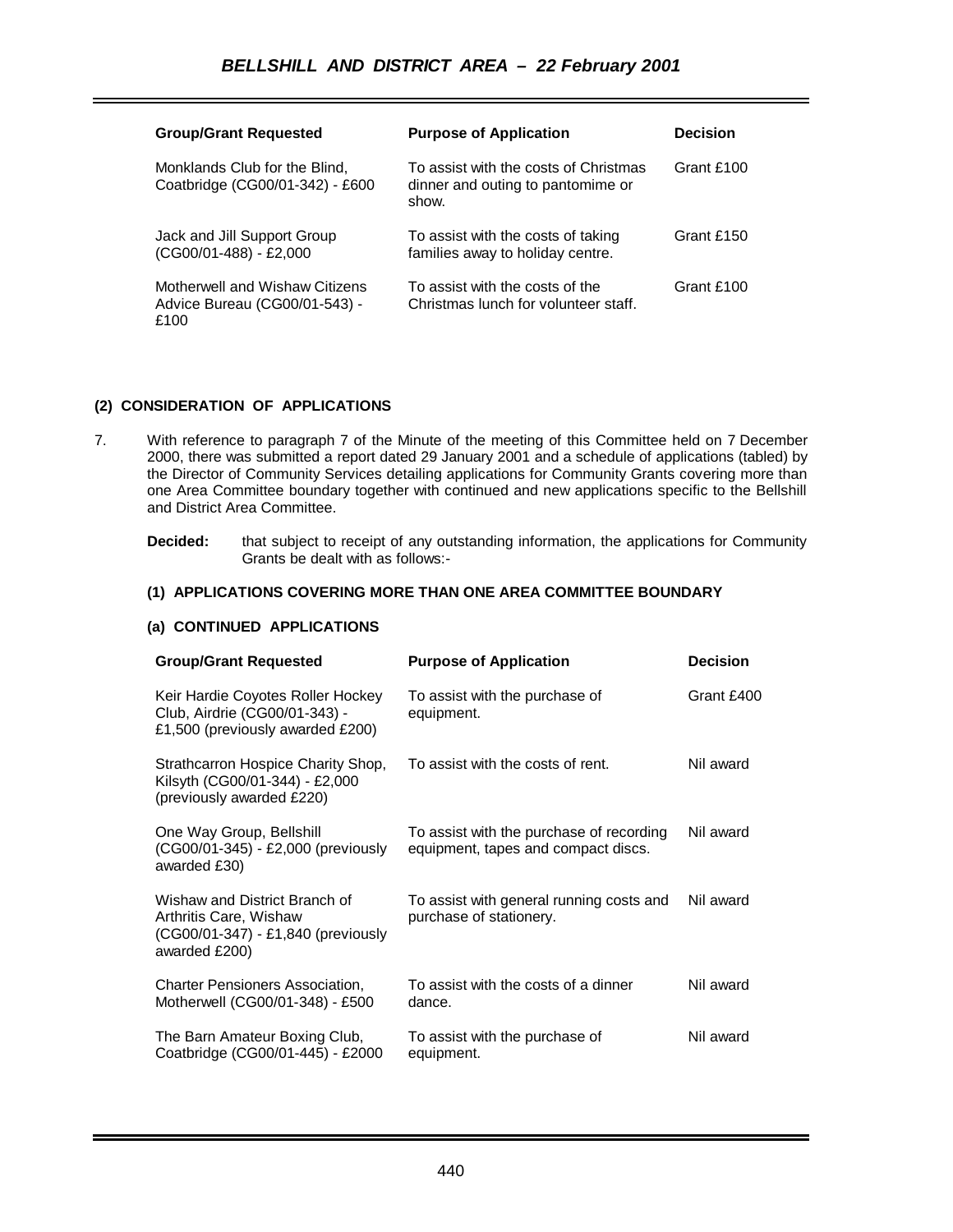| <b>Group/Grant Requested</b>                                            | <b>Purpose of Application</b>                                                       | <b>Decision</b> |
|-------------------------------------------------------------------------|-------------------------------------------------------------------------------------|-----------------|
| Monklands Club for the Blind,<br>Coatbridge (CG00/01-342) - £600        | To assist with the costs of Christmas<br>dinner and outing to pantomime or<br>show. | Grant £100      |
| Jack and Jill Support Group<br>(CG00/01-488) - £2,000                   | To assist with the costs of taking<br>families away to holiday centre.              | Grant £150      |
| Motherwell and Wishaw Citizens<br>Advice Bureau (CG00/01-543) -<br>£100 | To assist with the costs of the<br>Christmas lunch for volunteer staff.             | Grant £100      |

### **(2) CONSIDERATION OF APPLICATIONS**

- 7. With reference to paragraph 7 of the Minute of the meeting of this Committee held on 7 December 2000, there was submitted a report dated 29 January 2001 and a schedule of applications (tabled) by the Director of Community Services detailing applications for Community Grants covering more than one Area Committee boundary together with continued and new applications specific to the Bellshill and District Area Committee.
	- **Decided:** that subject to receipt of any outstanding information, the applications for Community Grants be dealt with as follows:-

### **(1) APPLICATIONS COVERING MORE THAN ONE AREA COMMITTEE BOUNDARY**

## **(a) CONTINUED APPLICATIONS**

| <b>Group/Grant Requested</b>                                                                                   | <b>Purpose of Application</b>                                                   | <b>Decision</b> |
|----------------------------------------------------------------------------------------------------------------|---------------------------------------------------------------------------------|-----------------|
| Keir Hardie Coyotes Roller Hockey<br>Club, Airdrie (CG00/01-343) -<br>£1,500 (previously awarded £200)         | To assist with the purchase of<br>equipment.                                    | Grant £400      |
| Strathcarron Hospice Charity Shop,<br>Kilsyth (CG00/01-344) - £2,000<br>(previously awarded £220)              | To assist with the costs of rent.                                               | Nil award       |
| One Way Group, Bellshill<br>(CG00/01-345) - £2,000 (previously<br>awarded £30)                                 | To assist with the purchase of recording<br>equipment, tapes and compact discs. | Nil award       |
| Wishaw and District Branch of<br>Arthritis Care, Wishaw<br>(CG00/01-347) - £1,840 (previously<br>awarded £200) | To assist with general running costs and<br>purchase of stationery.             | Nil award       |
| <b>Charter Pensioners Association,</b><br>Motherwell (CG00/01-348) - £500                                      | To assist with the costs of a dinner<br>dance.                                  | Nil award       |
| The Barn Amateur Boxing Club,<br>Coatbridge (CG00/01-445) - £2000                                              | To assist with the purchase of<br>equipment.                                    | Nil award       |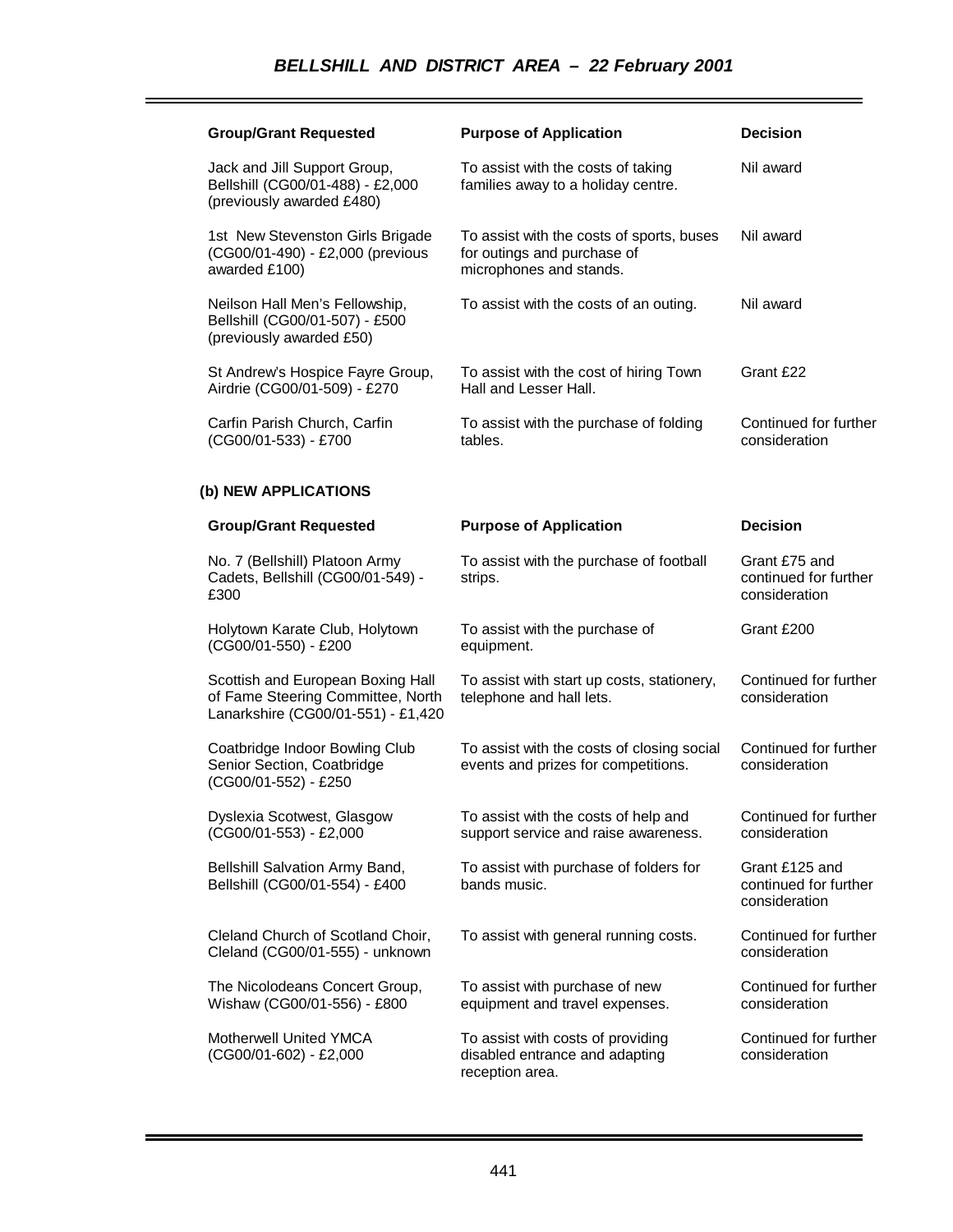| <b>Group/Grant Requested</b>                                                                                 | <b>Purpose of Application</b>                                                                       | <b>Decision</b>                                          |
|--------------------------------------------------------------------------------------------------------------|-----------------------------------------------------------------------------------------------------|----------------------------------------------------------|
| Jack and Jill Support Group,<br>Bellshill (CG00/01-488) - £2,000<br>(previously awarded £480)                | To assist with the costs of taking<br>families away to a holiday centre.                            | Nil award                                                |
| 1st New Stevenston Girls Brigade<br>(CG00/01-490) - £2,000 (previous<br>awarded £100)                        | To assist with the costs of sports, buses<br>for outings and purchase of<br>microphones and stands. | Nil award                                                |
| Neilson Hall Men's Fellowship,<br>Bellshill (CG00/01-507) - £500<br>(previously awarded £50)                 | To assist with the costs of an outing.                                                              | Nil award                                                |
| St Andrew's Hospice Fayre Group,<br>Airdrie (CG00/01-509) - £270                                             | To assist with the cost of hiring Town<br>Hall and Lesser Hall.                                     | Grant £22                                                |
| Carfin Parish Church, Carfin<br>(CG00/01-533) - £700                                                         | To assist with the purchase of folding<br>tables.                                                   | Continued for further<br>consideration                   |
| (b) NEW APPLICATIONS                                                                                         |                                                                                                     |                                                          |
| <b>Group/Grant Requested</b>                                                                                 | <b>Purpose of Application</b>                                                                       | <b>Decision</b>                                          |
| No. 7 (Bellshill) Platoon Army<br>Cadets, Bellshill (CG00/01-549) -<br>£300                                  | To assist with the purchase of football<br>strips.                                                  | Grant £75 and<br>continued for further<br>consideration  |
| Holytown Karate Club, Holytown<br>(CG00/01-550) - £200                                                       | To assist with the purchase of<br>equipment.                                                        | Grant £200                                               |
| Scottish and European Boxing Hall<br>of Fame Steering Committee, North<br>Lanarkshire (CG00/01-551) - £1,420 | To assist with start up costs, stationery,<br>telephone and hall lets.                              | Continued for further<br>consideration                   |
|                                                                                                              |                                                                                                     |                                                          |
| Coatbridge Indoor Bowling Club<br>Senior Section, Coatbridge<br>(CG00/01-552) - £250                         | To assist with the costs of closing social<br>events and prizes for competitions.                   | Continued for further<br>consideration                   |
| Dyslexia Scotwest, Glasgow<br>(CG00/01-553) - £2,000                                                         | To assist with the costs of help and<br>support service and raise awareness.                        | Continued for further<br>consideration                   |
| Bellshill Salvation Army Band,<br>Bellshill (CG00/01-554) - £400                                             | To assist with purchase of folders for<br>bands music.                                              | Grant £125 and<br>continued for further<br>consideration |
| Cleland Church of Scotland Choir,<br>Cleland (CG00/01-555) - unknown                                         | To assist with general running costs.                                                               | Continued for further<br>consideration                   |
| The Nicolodeans Concert Group,<br>Wishaw (CG00/01-556) - £800                                                | To assist with purchase of new<br>equipment and travel expenses.                                    | Continued for further<br>consideration                   |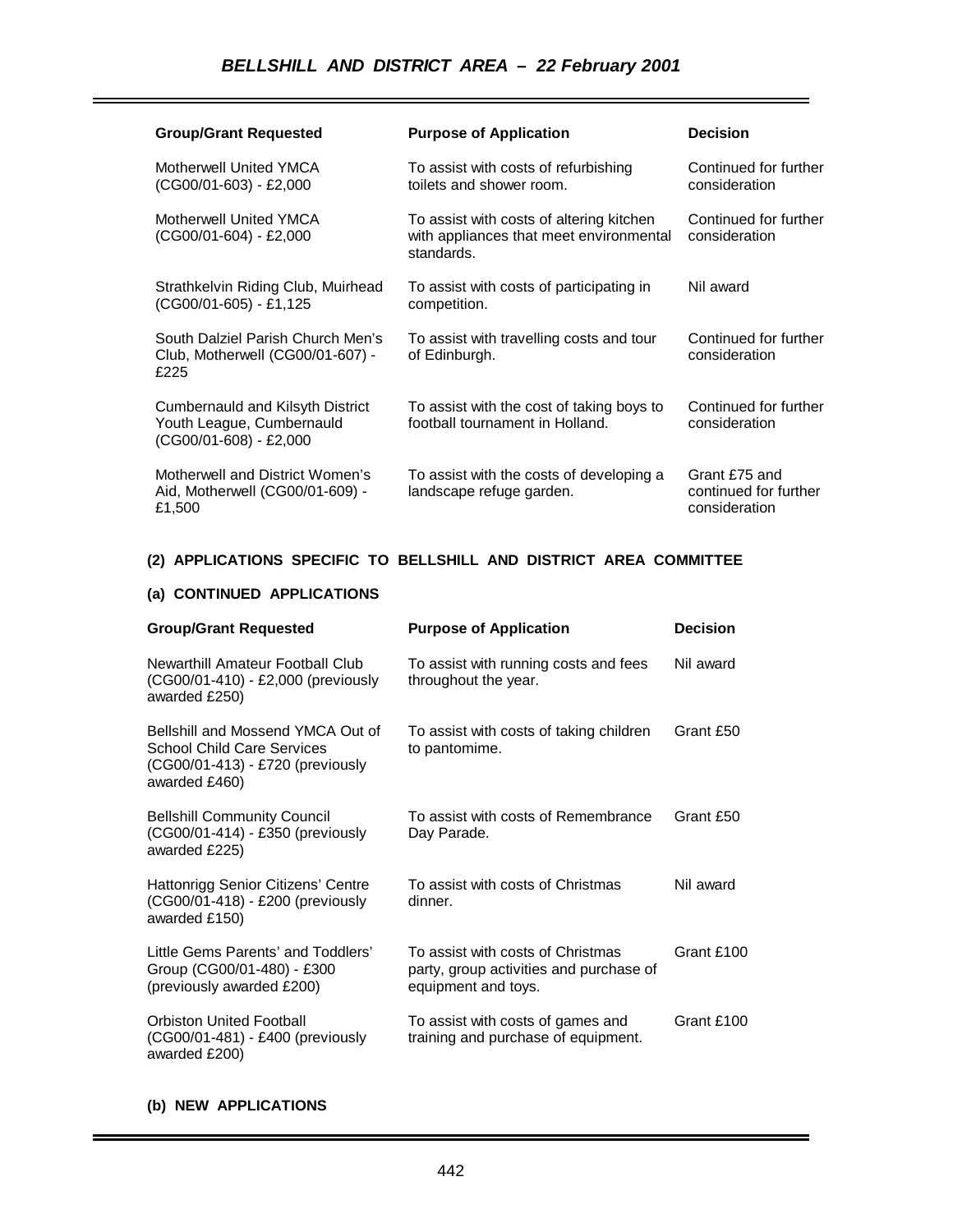| <b>Group/Grant Requested</b>                                                              | <b>Purpose of Application</b>                                                                     | <b>Decision</b>                                         |
|-------------------------------------------------------------------------------------------|---------------------------------------------------------------------------------------------------|---------------------------------------------------------|
| Motherwell United YMCA<br>$(CG00/01-603) - E2,000$                                        | To assist with costs of refurbishing<br>toilets and shower room.                                  | Continued for further<br>consideration                  |
| Motherwell United YMCA<br>$(CG00/01-604) - E2,000$                                        | To assist with costs of altering kitchen<br>with appliances that meet environmental<br>standards. | Continued for further<br>consideration                  |
| Strathkelvin Riding Club, Muirhead<br>(CG00/01-605) - £1,125                              | To assist with costs of participating in<br>competition.                                          | Nil award                                               |
| South Dalziel Parish Church Men's<br>Club, Motherwell (CG00/01-607) -<br>£225             | To assist with travelling costs and tour<br>of Edinburgh.                                         | Continued for further<br>consideration                  |
| Cumbernauld and Kilsyth District<br>Youth League, Cumbernauld<br>$(CG00/01-608) - E2,000$ | To assist with the cost of taking boys to<br>football tournament in Holland.                      | Continued for further<br>consideration                  |
| Motherwell and District Women's<br>Aid, Motherwell (CG00/01-609) -<br>£1,500              | To assist with the costs of developing a<br>landscape refuge garden.                              | Grant £75 and<br>continued for further<br>consideration |

## **(2) APPLICATIONS SPECIFIC TO BELLSHILL AND DISTRICT AREA COMMITTEE**

### **(a) CONTINUED APPLICATIONS**

| <b>Group/Grant Requested</b>                                                                                                | <b>Purpose of Application</b>                                                                       | <b>Decision</b> |
|-----------------------------------------------------------------------------------------------------------------------------|-----------------------------------------------------------------------------------------------------|-----------------|
| Newarthill Amateur Football Club<br>(CG00/01-410) - £2,000 (previously<br>awarded £250)                                     | To assist with running costs and fees<br>throughout the year.                                       | Nil award       |
| Bellshill and Mossend YMCA Out of<br><b>School Child Care Services</b><br>(CG00/01-413) - £720 (previously<br>awarded £460) | To assist with costs of taking children<br>to pantomime.                                            | Grant £50       |
| <b>Bellshill Community Council</b><br>(CG00/01-414) - £350 (previously<br>awarded £225)                                     | To assist with costs of Remembrance<br>Day Parade.                                                  | Grant £50       |
| Hattonrigg Senior Citizens' Centre<br>(CG00/01-418) - £200 (previously<br>awarded £150)                                     | To assist with costs of Christmas<br>dinner.                                                        | Nil award       |
| Little Gems Parents' and Toddlers'<br>Group (CG00/01-480) - £300<br>(previously awarded £200)                               | To assist with costs of Christmas<br>party, group activities and purchase of<br>equipment and toys. | Grant £100      |
| <b>Orbiston United Football</b><br>(CG00/01-481) - £400 (previously<br>awarded £200)                                        | To assist with costs of games and<br>training and purchase of equipment.                            | Grant £100      |

### **(b) NEW APPLICATIONS**